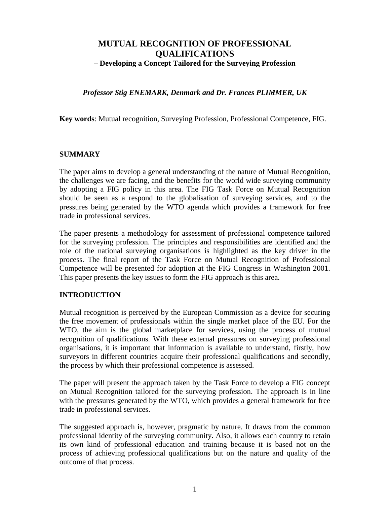# **MUTUAL RECOGNITION OF PROFESSIONAL QUALIFICATIONS – Developing a Concept Tailored for the Surveying Profession**

# *Professor Stig ENEMARK, Denmark and Dr. Frances PLIMMER, UK*

**Key words**: Mutual recognition, Surveying Profession, Professional Competence, FIG.

### **SUMMARY**

The paper aims to develop a general understanding of the nature of Mutual Recognition, the challenges we are facing, and the benefits for the world wide surveying community by adopting a FIG policy in this area. The FIG Task Force on Mutual Recognition should be seen as a respond to the globalisation of surveying services, and to the pressures being generated by the WTO agenda which provides a framework for free trade in professional services.

The paper presents a methodology for assessment of professional competence tailored for the surveying profession. The principles and responsibilities are identified and the role of the national surveying organisations is highlighted as the key driver in the process. The final report of the Task Force on Mutual Recognition of Professional Competence will be presented for adoption at the FIG Congress in Washington 2001. This paper presents the key issues to form the FIG approach is this area.

#### **INTRODUCTION**

Mutual recognition is perceived by the European Commission as a device for securing the free movement of professionals within the single market place of the EU. For the WTO, the aim is the global marketplace for services, using the process of mutual recognition of qualifications. With these external pressures on surveying professional organisations, it is important that information is available to understand, firstly, how surveyors in different countries acquire their professional qualifications and secondly, the process by which their professional competence is assessed.

The paper will present the approach taken by the Task Force to develop a FIG concept on Mutual Recognition tailored for the surveying profession. The approach is in line with the pressures generated by the WTO, which provides a general framework for free trade in professional services.

The suggested approach is, however, pragmatic by nature. It draws from the common professional identity of the surveying community. Also, it allows each country to retain its own kind of professional education and training because it is based not on the process of achieving professional qualifications but on the nature and quality of the outcome of that process.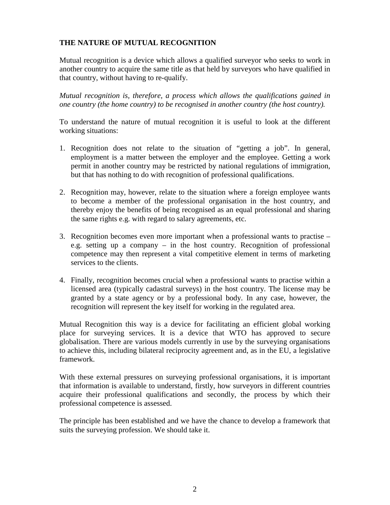# **THE NATURE OF MUTUAL RECOGNITION**

Mutual recognition is a device which allows a qualified surveyor who seeks to work in another country to acquire the same title as that held by surveyors who have qualified in that country, without having to re-qualify.

*Mutual recognition is, therefore, a process which allows the qualifications gained in one country (the home country) to be recognised in another country (the host country).*

To understand the nature of mutual recognition it is useful to look at the different working situations:

- 1. Recognition does not relate to the situation of "getting a job". In general, employment is a matter between the employer and the employee. Getting a work permit in another country may be restricted by national regulations of immigration, but that has nothing to do with recognition of professional qualifications.
- 2. Recognition may, however, relate to the situation where a foreign employee wants to become a member of the professional organisation in the host country, and thereby enjoy the benefits of being recognised as an equal professional and sharing the same rights e.g. with regard to salary agreements, etc.
- 3. Recognition becomes even more important when a professional wants to practise e.g. setting up a company – in the host country. Recognition of professional competence may then represent a vital competitive element in terms of marketing services to the clients.
- 4. Finally, recognition becomes crucial when a professional wants to practise within a licensed area (typically cadastral surveys) in the host country. The license may be granted by a state agency or by a professional body. In any case, however, the recognition will represent the key itself for working in the regulated area.

Mutual Recognition this way is a device for facilitating an efficient global working place for surveying services. It is a device that WTO has approved to secure globalisation. There are various models currently in use by the surveying organisations to achieve this, including bilateral reciprocity agreement and, as in the EU, a legislative framework.

With these external pressures on surveying professional organisations, it is important that information is available to understand, firstly, how surveyors in different countries acquire their professional qualifications and secondly, the process by which their professional competence is assessed.

The principle has been established and we have the chance to develop a framework that suits the surveying profession. We should take it.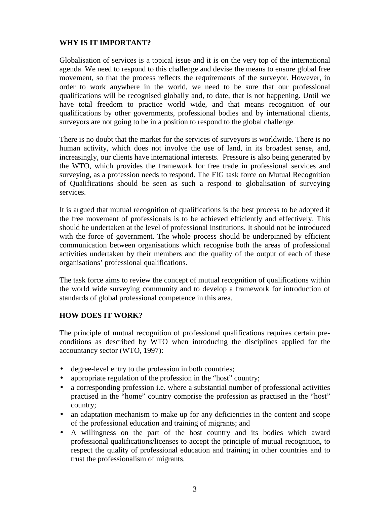# **WHY IS IT IMPORTANT?**

Globalisation of services is a topical issue and it is on the very top of the international agenda. We need to respond to this challenge and devise the means to ensure global free movement, so that the process reflects the requirements of the surveyor. However, in order to work anywhere in the world, we need to be sure that our professional qualifications will be recognised globally and, to date, that is not happening. Until we have total freedom to practice world wide, and that means recognition of our qualifications by other governments, professional bodies and by international clients, surveyors are not going to be in a position to respond to the global challenge.

There is no doubt that the market for the services of surveyors is worldwide. There is no human activity, which does not involve the use of land, in its broadest sense, and, increasingly, our clients have international interests. Pressure is also being generated by the WTO, which provides the framework for free trade in professional services and surveying, as a profession needs to respond. The FIG task force on Mutual Recognition of Qualifications should be seen as such a respond to globalisation of surveying services.

It is argued that mutual recognition of qualifications is the best process to be adopted if the free movement of professionals is to be achieved efficiently and effectively. This should be undertaken at the level of professional institutions. It should not be introduced with the force of government. The whole process should be underpinned by efficient communication between organisations which recognise both the areas of professional activities undertaken by their members and the quality of the output of each of these organisations' professional qualifications.

The task force aims to review the concept of mutual recognition of qualifications within the world wide surveying community and to develop a framework for introduction of standards of global professional competence in this area.

# **HOW DOES IT WORK?**

The principle of mutual recognition of professional qualifications requires certain preconditions as described by WTO when introducing the disciplines applied for the accountancy sector (WTO, 1997):

- degree-level entry to the profession in both countries;
- appropriate regulation of the profession in the "host" country;
- a corresponding profession i.e. where a substantial number of professional activities practised in the "home" country comprise the profession as practised in the "host" country;
- an adaptation mechanism to make up for any deficiencies in the content and scope of the professional education and training of migrants; and
- A willingness on the part of the host country and its bodies which award professional qualifications/licenses to accept the principle of mutual recognition, to respect the quality of professional education and training in other countries and to trust the professionalism of migrants.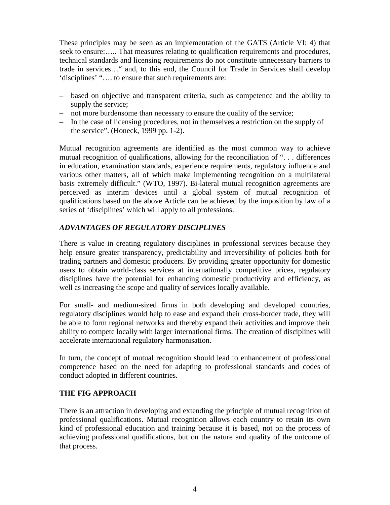These principles may be seen as an implementation of the GATS (Article VI: 4) that seek to ensure:….. That measures relating to qualification requirements and procedures, technical standards and licensing requirements do not constitute unnecessary barriers to trade in services…" and, to this end, the Council for Trade in Services shall develop 'disciplines' "…. to ensure that such requirements are:

- based on objective and transparent criteria, such as competence and the ability to supply the service;
- not more burdensome than necessary to ensure the quality of the service;
- In the case of licensing procedures, not in themselves a restriction on the supply of the service". (Honeck, 1999 pp. 1-2).

Mutual recognition agreements are identified as the most common way to achieve mutual recognition of qualifications, allowing for the reconciliation of ". . . differences in education, examination standards, experience requirements, regulatory influence and various other matters, all of which make implementing recognition on a multilateral basis extremely difficult." (WTO, 1997). Bi-lateral mutual recognition agreements are perceived as interim devices until a global system of mutual recognition of qualifications based on the above Article can be achieved by the imposition by law of a series of 'disciplines' which will apply to all professions.

# *ADVANTAGES OF REGULATORY DISCIPLINES*

There is value in creating regulatory disciplines in professional services because they help ensure greater transparency, predictability and irreversibility of policies both for trading partners and domestic producers. By providing greater opportunity for domestic users to obtain world-class services at internationally competitive prices, regulatory disciplines have the potential for enhancing domestic productivity and efficiency, as well as increasing the scope and quality of services locally available.

For small- and medium-sized firms in both developing and developed countries, regulatory disciplines would help to ease and expand their cross-border trade, they will be able to form regional networks and thereby expand their activities and improve their ability to compete locally with larger international firms. The creation of disciplines will accelerate international regulatory harmonisation.

In turn, the concept of mutual recognition should lead to enhancement of professional competence based on the need for adapting to professional standards and codes of conduct adopted in different countries.

# **THE FIG APPROACH**

There is an attraction in developing and extending the principle of mutual recognition of professional qualifications. Mutual recognition allows each country to retain its own kind of professional education and training because it is based, not on the process of achieving professional qualifications, but on the nature and quality of the outcome of that process.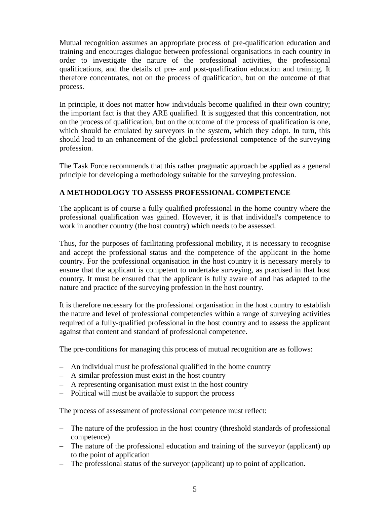Mutual recognition assumes an appropriate process of pre-qualification education and training and encourages dialogue between professional organisations in each country in order to investigate the nature of the professional activities, the professional qualifications, and the details of pre- and post-qualification education and training. It therefore concentrates, not on the process of qualification, but on the outcome of that process.

In principle, it does not matter how individuals become qualified in their own country; the important fact is that they ARE qualified. It is suggested that this concentration, not on the process of qualification, but on the outcome of the process of qualification is one, which should be emulated by surveyors in the system, which they adopt. In turn, this should lead to an enhancement of the global professional competence of the surveying profession.

The Task Force recommends that this rather pragmatic approach be applied as a general principle for developing a methodology suitable for the surveying profession.

# **A METHODOLOGY TO ASSESS PROFESSIONAL COMPETENCE**

The applicant is of course a fully qualified professional in the home country where the professional qualification was gained. However, it is that individual's competence to work in another country (the host country) which needs to be assessed.

Thus, for the purposes of facilitating professional mobility, it is necessary to recognise and accept the professional status and the competence of the applicant in the home country. For the professional organisation in the host country it is necessary merely to ensure that the applicant is competent to undertake surveying, as practised in that host country. It must be ensured that the applicant is fully aware of and has adapted to the nature and practice of the surveying profession in the host country.

It is therefore necessary for the professional organisation in the host country to establish the nature and level of professional competencies within a range of surveying activities required of a fully-qualified professional in the host country and to assess the applicant against that content and standard of professional competence.

The pre-conditions for managing this process of mutual recognition are as follows:

- An individual must be professional qualified in the home country
- A similar profession must exist in the host country
- A representing organisation must exist in the host country
- Political will must be available to support the process

The process of assessment of professional competence must reflect:

- The nature of the profession in the host country (threshold standards of professional competence)
- The nature of the professional education and training of the surveyor (applicant) up to the point of application
- The professional status of the surveyor (applicant) up to point of application.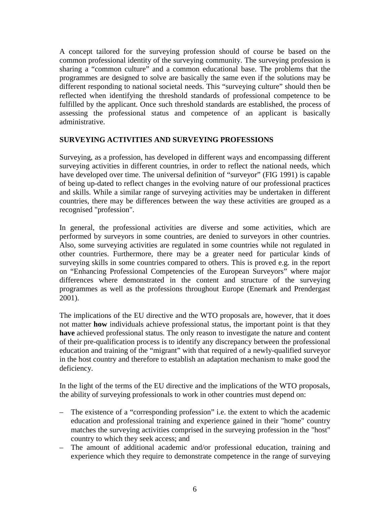A concept tailored for the surveying profession should of course be based on the common professional identity of the surveying community. The surveying profession is sharing a "common culture" and a common educational base. The problems that the programmes are designed to solve are basically the same even if the solutions may be different responding to national societal needs. This "surveying culture" should then be reflected when identifying the threshold standards of professional competence to be fulfilled by the applicant. Once such threshold standards are established, the process of assessing the professional status and competence of an applicant is basically administrative.

### **SURVEYING ACTIVITIES AND SURVEYING PROFESSIONS**

Surveying, as a profession, has developed in different ways and encompassing different surveying activities in different countries, in order to reflect the national needs, which have developed over time. The universal definition of "surveyor" (FIG 1991) is capable of being up-dated to reflect changes in the evolving nature of our professional practices and skills. While a similar range of surveying activities may be undertaken in different countries, there may be differences between the way these activities are grouped as a recognised "profession".

In general, the professional activities are diverse and some activities, which are performed by surveyors in some countries, are denied to surveyors in other countries. Also, some surveying activities are regulated in some countries while not regulated in other countries. Furthermore, there may be a greater need for particular kinds of surveying skills in some countries compared to others. This is proved e.g. in the report on "Enhancing Professional Competencies of the European Surveyors" where major differences where demonstrated in the content and structure of the surveying programmes as well as the professions throughout Europe (Enemark and Prendergast 2001).

The implications of the EU directive and the WTO proposals are, however, that it does not matter **how** individuals achieve professional status, the important point is that they **have** achieved professional status. The only reason to investigate the nature and content of their pre-qualification process is to identify any discrepancy between the professional education and training of the "migrant" with that required of a newly-qualified surveyor in the host country and therefore to establish an adaptation mechanism to make good the deficiency.

In the light of the terms of the EU directive and the implications of the WTO proposals, the ability of surveying professionals to work in other countries must depend on:

- The existence of a "corresponding profession" i.e. the extent to which the academic education and professional training and experience gained in their "home" country matches the surveying activities comprised in the surveying profession in the "host" country to which they seek access; and
- The amount of additional academic and/or professional education, training and experience which they require to demonstrate competence in the range of surveying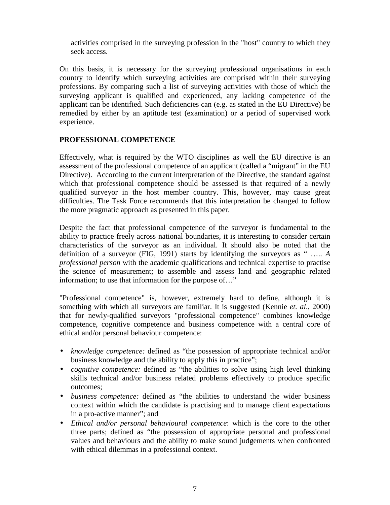activities comprised in the surveying profession in the "host" country to which they seek access.

On this basis, it is necessary for the surveying professional organisations in each country to identify which surveying activities are comprised within their surveying professions. By comparing such a list of surveying activities with those of which the surveying applicant is qualified and experienced, any lacking competence of the applicant can be identified. Such deficiencies can (e.g. as stated in the EU Directive) be remedied by either by an aptitude test (examination) or a period of supervised work experience.

### **PROFESSIONAL COMPETENCE**

Effectively, what is required by the WTO disciplines as well the EU directive is an assessment of the professional competence of an applicant (called a "migrant" in the EU Directive). According to the current interpretation of the Directive, the standard against which that professional competence should be assessed is that required of a newly qualified surveyor in the host member country. This, however, may cause great difficulties. The Task Force recommends that this interpretation be changed to follow the more pragmatic approach as presented in this paper.

Despite the fact that professional competence of the surveyor is fundamental to the ability to practice freely across national boundaries, it is interesting to consider certain characteristics of the surveyor as an individual. It should also be noted that the definition of a surveyor (FIG, 1991) starts by identifying the surveyors as " ….. *A professional person* with the academic qualifications and technical expertise to practise the science of measurement; to assemble and assess land and geographic related information; to use that information for the purpose of…"

"Professional competence" is, however, extremely hard to define, although it is something with which all surveyors are familiar. It is suggested (Kennie *et. al*., 2000) that for newly-qualified surveyors "professional competence" combines knowledge competence, cognitive competence and business competence with a central core of ethical and/or personal behaviour competence:

- *knowledge competence:* defined as "the possession of appropriate technical and/or business knowledge and the ability to apply this in practice";
- *cognitive competence:* defined as "the abilities to solve using high level thinking skills technical and/or business related problems effectively to produce specific outcomes;
- *business competence:* defined as "the abilities to understand the wider business context within which the candidate is practising and to manage client expectations in a pro-active manner"; and
- *Ethical and/or personal behavioural competence*: which is the core to the other three parts; defined as "the possession of appropriate personal and professional values and behaviours and the ability to make sound judgements when confronted with ethical dilemmas in a professional context.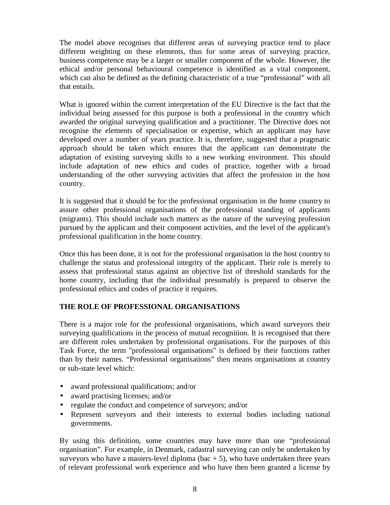The model above recognises that different areas of surveying practice tend to place different weighting on these elements, thus for some areas of surveying practice, business competence may be a larger or smaller component of the whole. However, the ethical and/or personal behavioural competence is identified as a vital component, which can also be defined as the defining characteristic of a true "professional" with all that entails.

What is ignored within the current interpretation of the EU Directive is the fact that the individual being assessed for this purpose is both a professional in the country which awarded the original surveying qualification and a practitioner. The Directive does not recognise the elements of specialisation or expertise, which an applicant may have developed over a number of years practice. It is, therefore, suggested that a pragmatic approach should be taken which ensures that the applicant can demonstrate the adaptation of existing surveying skills to a new working environment. This should include adaptation of new ethics and codes of practice, together with a broad understanding of the other surveying activities that affect the profession in the host country.

It is suggested that it should be for the professional organisation in the home country to assure other professional organisations of the professional standing of applicants (migrants). This should include such matters as the nature of the surveying profession pursued by the applicant and their component activities, and the level of the applicant's professional qualification in the home country.

Once this has been done, it is not for the professional organisation in the host country to challenge the status and professional integrity of the applicant. Their role is merely to assess that professional status against an objective list of threshold standards for the home country, including that the individual presumably is prepared to observe the professional ethics and codes of practice it requires.

# **THE ROLE OF PROFESSIONAL ORGANISATIONS**

There is a major role for the professional organisations, which award surveyors their surveying qualifications in the process of mutual recognition. It is recognised that there are different roles undertaken by professional organisations. For the purposes of this Task Force, the term "professional organisations" is defined by their functions rather than by their names. "Professional organisations" then means organisations at country or sub-state level which:

- award professional qualifications; and/or
- award practising licenses; and/or
- regulate the conduct and competence of surveyors; and/or
- Represent surveyors and their interests to external bodies including national governments.

By using this definition, some countries may have more than one "professional organisation". For example, in Denmark, cadastral surveying can only be undertaken by surveyors who have a masters-level diploma (bac  $+ 5$ ), who have undertaken three years of relevant professional work experience and who have then been granted a license by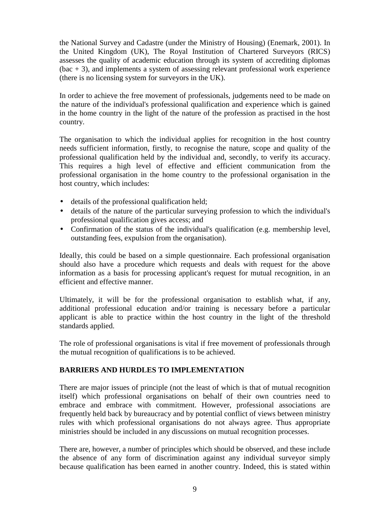the National Survey and Cadastre (under the Ministry of Housing) (Enemark, 2001). In the United Kingdom (UK), The Royal Institution of Chartered Surveyors (RICS) assesses the quality of academic education through its system of accrediting diplomas (bac + 3), and implements a system of assessing relevant professional work experience (there is no licensing system for surveyors in the UK).

In order to achieve the free movement of professionals, judgements need to be made on the nature of the individual's professional qualification and experience which is gained in the home country in the light of the nature of the profession as practised in the host country.

The organisation to which the individual applies for recognition in the host country needs sufficient information, firstly, to recognise the nature, scope and quality of the professional qualification held by the individual and, secondly, to verify its accuracy. This requires a high level of effective and efficient communication from the professional organisation in the home country to the professional organisation in the host country, which includes:

- details of the professional qualification held;
- details of the nature of the particular surveying profession to which the individual's professional qualification gives access; and
- Confirmation of the status of the individual's qualification (e.g. membership level, outstanding fees, expulsion from the organisation).

Ideally, this could be based on a simple questionnaire. Each professional organisation should also have a procedure which requests and deals with request for the above information as a basis for processing applicant's request for mutual recognition, in an efficient and effective manner.

Ultimately, it will be for the professional organisation to establish what, if any, additional professional education and/or training is necessary before a particular applicant is able to practice within the host country in the light of the threshold standards applied.

The role of professional organisations is vital if free movement of professionals through the mutual recognition of qualifications is to be achieved.

# **BARRIERS AND HURDLES TO IMPLEMENTATION**

There are major issues of principle (not the least of which is that of mutual recognition itself) which professional organisations on behalf of their own countries need to embrace and embrace with commitment. However, professional associations are frequently held back by bureaucracy and by potential conflict of views between ministry rules with which professional organisations do not always agree. Thus appropriate ministries should be included in any discussions on mutual recognition processes.

There are, however, a number of principles which should be observed, and these include the absence of any form of discrimination against any individual surveyor simply because qualification has been earned in another country. Indeed, this is stated within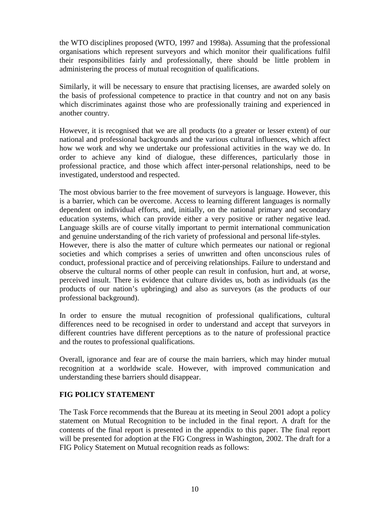the WTO disciplines proposed (WTO, 1997 and 1998a). Assuming that the professional organisations which represent surveyors and which monitor their qualifications fulfil their responsibilities fairly and professionally, there should be little problem in administering the process of mutual recognition of qualifications.

Similarly, it will be necessary to ensure that practising licenses, are awarded solely on the basis of professional competence to practice in that country and not on any basis which discriminates against those who are professionally training and experienced in another country.

However, it is recognised that we are all products (to a greater or lesser extent) of our national and professional backgrounds and the various cultural influences, which affect how we work and why we undertake our professional activities in the way we do. In order to achieve any kind of dialogue, these differences, particularly those in professional practice, and those which affect inter-personal relationships, need to be investigated, understood and respected.

The most obvious barrier to the free movement of surveyors is language. However, this is a barrier, which can be overcome. Access to learning different languages is normally dependent on individual efforts, and, initially, on the national primary and secondary education systems, which can provide either a very positive or rather negative lead. Language skills are of course vitally important to permit international communication and genuine understanding of the rich variety of professional and personal life-styles. However, there is also the matter of culture which permeates our national or regional societies and which comprises a series of unwritten and often unconscious rules of conduct, professional practice and of perceiving relationships. Failure to understand and observe the cultural norms of other people can result in confusion, hurt and, at worse, perceived insult. There is evidence that culture divides us, both as individuals (as the products of our nation's upbringing) and also as surveyors (as the products of our professional background).

In order to ensure the mutual recognition of professional qualifications, cultural differences need to be recognised in order to understand and accept that surveyors in different countries have different perceptions as to the nature of professional practice and the routes to professional qualifications.

Overall, ignorance and fear are of course the main barriers, which may hinder mutual recognition at a worldwide scale. However, with improved communication and understanding these barriers should disappear.

# **FIG POLICY STATEMENT**

The Task Force recommends that the Bureau at its meeting in Seoul 2001 adopt a policy statement on Mutual Recognition to be included in the final report. A draft for the contents of the final report is presented in the appendix to this paper. The final report will be presented for adoption at the FIG Congress in Washington, 2002. The draft for a FIG Policy Statement on Mutual recognition reads as follows: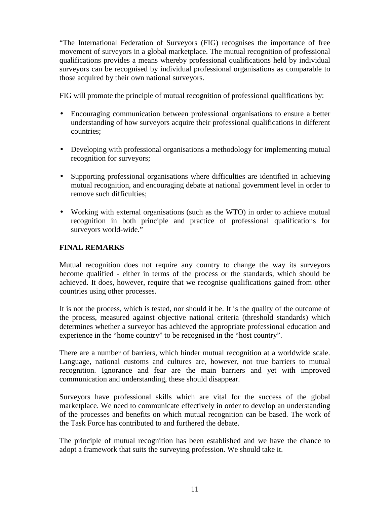"The International Federation of Surveyors (FIG) recognises the importance of free movement of surveyors in a global marketplace. The mutual recognition of professional qualifications provides a means whereby professional qualifications held by individual surveyors can be recognised by individual professional organisations as comparable to those acquired by their own national surveyors.

FIG will promote the principle of mutual recognition of professional qualifications by:

- Encouraging communication between professional organisations to ensure a better understanding of how surveyors acquire their professional qualifications in different countries;
- Developing with professional organisations a methodology for implementing mutual recognition for surveyors;
- Supporting professional organisations where difficulties are identified in achieving mutual recognition, and encouraging debate at national government level in order to remove such difficulties;
- Working with external organisations (such as the WTO) in order to achieve mutual recognition in both principle and practice of professional qualifications for surveyors world-wide."

# **FINAL REMARKS**

Mutual recognition does not require any country to change the way its surveyors become qualified - either in terms of the process or the standards, which should be achieved. It does, however, require that we recognise qualifications gained from other countries using other processes.

It is not the process, which is tested, nor should it be. It is the quality of the outcome of the process, measured against objective national criteria (threshold standards) which determines whether a surveyor has achieved the appropriate professional education and experience in the "home country" to be recognised in the "host country".

There are a number of barriers, which hinder mutual recognition at a worldwide scale. Language, national customs and cultures are, however, not true barriers to mutual recognition. Ignorance and fear are the main barriers and yet with improved communication and understanding, these should disappear.

Surveyors have professional skills which are vital for the success of the global marketplace. We need to communicate effectively in order to develop an understanding of the processes and benefits on which mutual recognition can be based. The work of the Task Force has contributed to and furthered the debate.

The principle of mutual recognition has been established and we have the chance to adopt a framework that suits the surveying profession. We should take it.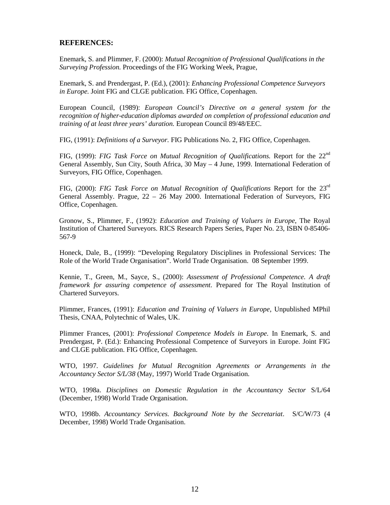#### **REFERENCES:**

Enemark, S. and Plimmer, F. (2000): *Mutual Recognition of Professional Qualifications in the Surveying Profession.* Proceedings of the FIG Working Week, Prague,

Enemark, S. and Prendergast, P. (Ed.), (2001): *Enhancing Professional Competence Surveyors in Europe.* Joint FIG and CLGE publication. FIG Office, Copenhagen.

European Council, (1989): *European Council's Directive on a general system for the recognition of higher-education diplomas awarded on completion of professional education and training of at least three years' duration.* European Council 89/48/EEC.

FIG, (1991): *Definitions of a Surveyor.* FIG Publications No. 2, FIG Office, Copenhagen.

FIG, (1999): FIG Task Force on Mutual Recognition of Qualifications. Report for the 22<sup>nd</sup> General Assembly, Sun City, South Africa, 30 May – 4 June, 1999. International Federation of Surveyors, FIG Office, Copenhagen.

FIG, (2000): *FIG Task Force on Mutual Recognition of Qualifications* Report for the 23rd General Assembly. Prague, 22 – 26 May 2000. International Federation of Surveyors, FIG Office, Copenhagen.

Gronow, S., Plimmer, F., (1992): *Education and Training of Valuers in Europe*, The Royal Institution of Chartered Surveyors. RICS Research Papers Series, Paper No. 23, ISBN 0-85406- 567-9

Honeck, Dale, B., (1999): "Developing Regulatory Disciplines in Professional Services: The Role of the World Trade Organisation". World Trade Organisation. 08 September 1999.

Kennie, T., Green, M., Sayce, S., (2000): *Assessment of Professional Competence. A draft framework for assuring competence of assessment*. Prepared for The Royal Institution of Chartered Surveyors.

Plimmer, Frances, (1991): *Education and Training of Valuers in Europe*, Unpublished MPhil Thesis, CNAA, Polytechnic of Wales, UK.

Plimmer Frances, (2001): *Professional Competence Models in Europe.* In Enemark, S. and Prendergast, P. (Ed.): Enhancing Professional Competence of Surveyors in Europe. Joint FIG and CLGE publication. FIG Office, Copenhagen.

WTO, 1997. *Guidelines for Mutual Recognition Agreements or Arrangements in the Accountancy Sector S/L/38* (May, 1997) World Trade Organisation.

WTO, 1998a. *Disciplines on Domestic Regulation in the Accountancy Sector* S/L/64 (December, 1998) World Trade Organisation.

WTO, 1998b. *Accountancy Services. Background Note by the Secretariat*. S/C/W/73 (4 December, 1998) World Trade Organisation.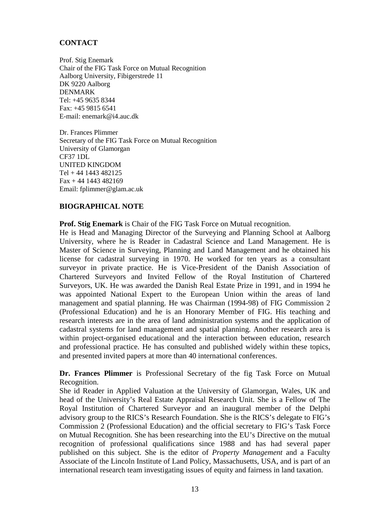# **CONTACT**

Prof. Stig Enemark Chair of the FIG Task Force on Mutual Recognition Aalborg University, Fibigerstrede 11 DK 9220 Aalborg DENMARK Tel: +45 9635 8344 Fax: +45 9815 6541 E-mail: enemark@i4.auc.dk

Dr. Frances Plimmer Secretary of the FIG Task Force on Mutual Recognition University of Glamorgan CF37 1DL UNITED KINGDOM Tel + 44 1443 482125  $Fax + 44 1443 482169$ Email: fplimmer@glam.ac.uk

# **BIOGRAPHICAL NOTE**

**Prof. Stig Enemark** is Chair of the FIG Task Force on Mutual recognition.

He is Head and Managing Director of the Surveying and Planning School at Aalborg University, where he is Reader in Cadastral Science and Land Management. He is Master of Science in Surveying, Planning and Land Management and he obtained his license for cadastral surveying in 1970. He worked for ten years as a consultant surveyor in private practice. He is Vice-President of the Danish Association of Chartered Surveyors and Invited Fellow of the Royal Institution of Chartered Surveyors, UK. He was awarded the Danish Real Estate Prize in 1991, and in 1994 he was appointed National Expert to the European Union within the areas of land management and spatial planning. He was Chairman (1994-98) of FIG Commission 2 (Professional Education) and he is an Honorary Member of FIG. His teaching and research interests are in the area of land administration systems and the application of cadastral systems for land management and spatial planning. Another research area is within project-organised educational and the interaction between education, research and professional practice. He has consulted and published widely within these topics, and presented invited papers at more than 40 international conferences.

**Dr. Frances Plimmer** is Professional Secretary of the fig Task Force on Mutual Recognition.

She id Reader in Applied Valuation at the University of Glamorgan, Wales, UK and head of the University's Real Estate Appraisal Research Unit. She is a Fellow of The Royal Institution of Chartered Surveyor and an inaugural member of the Delphi advisory group to the RICS's Research Foundation. She is the RICS's delegate to FIG's Commission 2 (Professional Education) and the official secretary to FIG's Task Force on Mutual Recognition. She has been researching into the EU's Directive on the mutual recognition of professional qualifications since 1988 and has had several paper published on this subject. She is the editor of *Property Management* and a Faculty Associate of the Lincoln Institute of Land Policy, Massachusetts, USA, and is part of an international research team investigating issues of equity and fairness in land taxation.